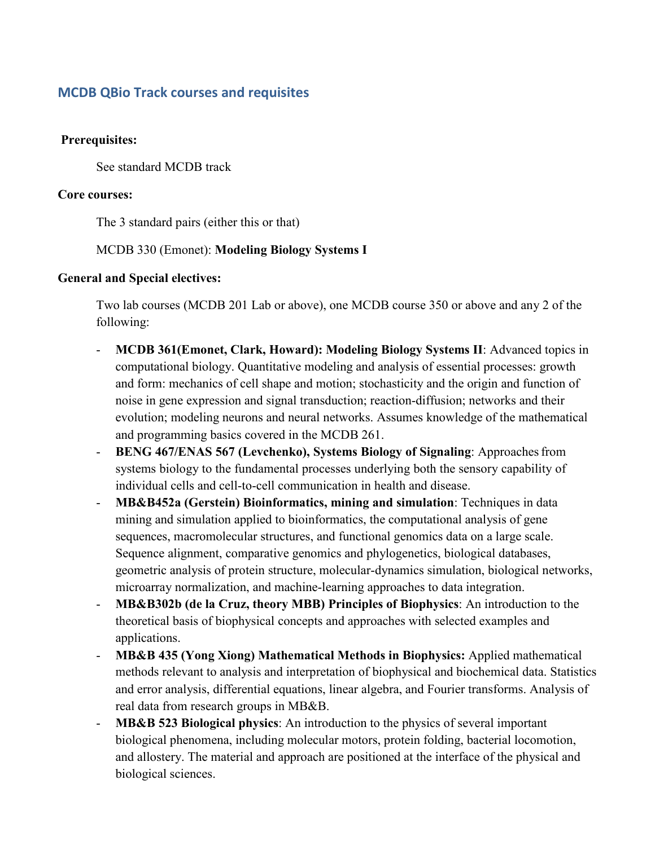# **MCDB QBio Track courses and requisites**

## **Prerequisites:**

See standard MCDB track

#### **Core courses:**

The 3 standard pairs (either this or that)

# MCDB 330 (Emonet): **Modeling Biology Systems I**

## **General and Special electives:**

Two lab courses (MCDB 201 Lab or above), one MCDB course 350 or above and any 2 of the following:

- **MCDB 361(Emonet, Clark, Howard): Modeling Biology Systems II**: Advanced topics in computational biology. Quantitative modeling and analysis of essential processes: growth and form: mechanics of cell shape and motion; stochasticity and the origin and function of noise in gene expression and signal transduction; reaction-diffusion; networks and their evolution; modeling neurons and neural networks. Assumes knowledge of the mathematical and programming basics covered in the MCDB 261.
- BENG 467/ENAS 567 (Levchenko), Systems Biology of Signaling: Approaches from systems biology to the fundamental processes underlying both the sensory capability of individual cells and cell-to-cell communication in health and disease.
- **MB&B452a (Gerstein) Bioinformatics, mining and simulation**: Techniques in data mining and simulation applied to bioinformatics, the computational analysis of gene sequences, macromolecular structures, and functional genomics data on a large scale. Sequence alignment, comparative genomics and phylogenetics, biological databases, geometric analysis of protein structure, molecular-dynamics simulation, biological networks, microarray normalization, and machine-learning approaches to data integration.
- **MB&B302b (de la Cruz, theory MBB) Principles of Biophysics**: An introduction to the theoretical basis of biophysical concepts and approaches with selected examples and applications.
- **MB&B 435 (Yong Xiong) Mathematical Methods in Biophysics:** Applied mathematical methods relevant to analysis and interpretation of biophysical and biochemical data. Statistics and error analysis, differential equations, linear algebra, and Fourier transforms. Analysis of real data from research groups in MB&B.
- **MB&B 523 Biological physics**: An introduction to the physics of several important biological phenomena, including molecular motors, protein folding, bacterial locomotion, and allostery. The material and approach are positioned at the interface of the physical and biological sciences.